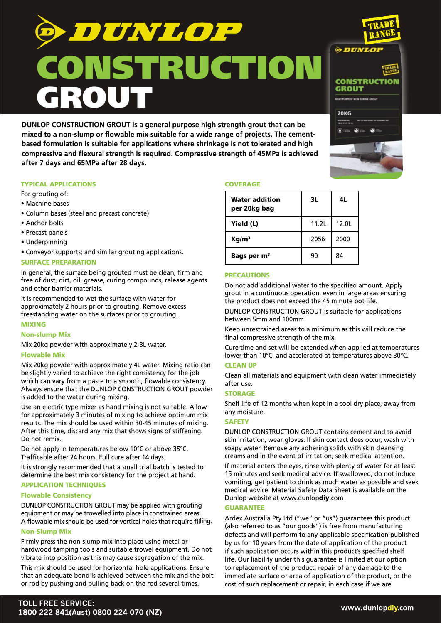DUNLOP **NSTRUCTION** GROUT

**DUNLOP CONSTRUCTION GROUT is a general purpose high strength grout that can be** mixed to a non-slump or flowable mix suitable for a wide range of projects. The cement**based formulation is suitable for applications where shrinkage is not tolerated and high**  compressive and flexural strength is required. Compressive strength of 45MPa is achieved **after 7 days and 65MPa after 28 days.**

## TYPICAL APPLICATIONS

For grouting of:

- Machine bases
- Column bases (steel and precast concrete)
- Anchor bolts
- Precast panels
- Underpinning
- Conveyor supports; and similar grouting applications.

## SURFACE PREPARATION

In general, the surface being grouted must be clean, firm and free of dust, dirt, oil, grease, curing compounds, release agents and other barrier materials.

It is recommended to wet the surface with water for approximately 2 hours prior to grouting. Remove excess freestanding water on the surfaces prior to grouting.

# MIXING

Non-slump Mix

Mix 20kg powder with approximately 2-3L water.

## Flowable Mix

Mix 20kg powder with approximately 4L water. Mixing ratio can be slightly varied to achieve the right consistency for the job which can vary from a paste to a smooth, flowable consistency. Always ensure that the DUNLOP CONSTRUCTION GROUT powder is added to the water during mixing.

Use an electric type mixer as hand mixing is not suitable. Allow for approximately 3 minutes of mixing to achieve optimum mix results. The mix should be used within 30-45 minutes of mixing. After this time, discard any mix that shows signs of stiffening. Do not remix.

Do not apply in temperatures below 10°C or above 35°C.<br>Trafficable after 24 hours. Full cure after 14 days.

It is strongly recommended that a small trial batch is tested to determine the best mix consistency for the project at hand.

## APPLICATION TECHNIQUES

## Flowable Consistency

DUNLOP CONSTRUCTION GROUT may be applied with grouting equipment or may be trowelled into place in constrained areas. A flowable mix should be used for vertical holes that require filling.

## Non-Slump Mix

Firmly press the non-slump mix into place using metal or hardwood tamping tools and suitable trowel equipment. Do not vibrate into position as this may cause segregation of the mix.

This mix should be used for horizontal hole applications. Ensure that an adequate bond is achieved between the mix and the bolt or rod by pushing and pulling back on the rod several times.

## **COVERAGE**

| Water addition<br>per 20kg bag | 3L    | 4L    |
|--------------------------------|-------|-------|
| Yield (L)                      | 11.2L | 12.0L |
| Kq/m <sup>3</sup>              | 2056  | 2000  |
| Bags per m <sup>3</sup>        | 90    | 84    |

## PRECAUTIONS

Do not add additional water to the specified amount. Apply grout in a continuous operation, even in large areas ensuring the product does not exceed the 45 minute pot life.

DUNLOP CONSTRUCTION GROUT is suitable for applications between 5mm and 100mm.

Keep unrestrained areas to a minimum as this will reduce the final compressive strength of the mix.

Cure time and set will be extended when applied at temperatures lower than 10°C, and accelerated at temperatures above 30°C.

## CLEAN UP

Clean all materials and equipment with clean water immediately after use.

## **STORAGE**

Shelf life of 12 months when kept in a cool dry place, away from any moisture.

## **SAFETY**

DUNLOP CONSTRUCTION GROUT contains cement and to avoid skin irritation, wear gloves. If skin contact does occur, wash with soapy water. Remove any adhering solids with skin cleansing creams and in the event of irritation, seek medical attention.

If material enters the eyes, rinse with plenty of water for at least 15 minutes and seek medical advice. If swallowed, do not induce vomiting, get patient to drink as much water as possible and seek medical advice. Material Safety Data Sheet is available on the Dunlop website at www.dunlopdiy.com

## GUARANTEE

Ardex Australia Pty Ltd ("we" or "us") guarantees this product (also referred to as "our goods") is free from manufacturing defects and will perform to any applicable specification published by us for 10 years from the date of application of the product if such application occurs within this product's specified shelf life. Our liability under this guarantee is limited at our option to replacement of the product, repair of any damage to the immediate surface or area of application of the product, or the cost of such replacement or repair, in each case if we are